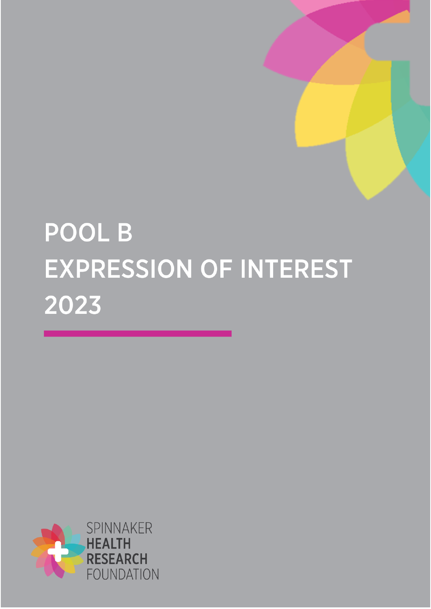# POOL B EXPRESSION OF INTEREST 2023

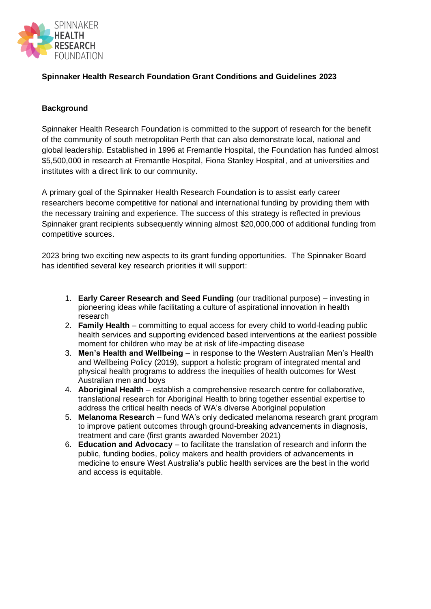

## **Spinnaker Health Research Foundation Grant Conditions and Guidelines 2023**

#### **Background**

Spinnaker Health Research Foundation is committed to the support of research for the benefit of the community of south metropolitan Perth that can also demonstrate local, national and global leadership. Established in 1996 at Fremantle Hospital, the Foundation has funded almost \$5,500,000 in research at Fremantle Hospital, Fiona Stanley Hospital, and at universities and institutes with a direct link to our community.

A primary goal of the Spinnaker Health Research Foundation is to assist early career researchers become competitive for national and international funding by providing them with the necessary training and experience. The success of this strategy is reflected in previous Spinnaker grant recipients subsequently winning almost \$20,000,000 of additional funding from competitive sources.

2023 bring two exciting new aspects to its grant funding opportunities. The Spinnaker Board has identified several key research priorities it will support:

- 1. **Early Career Research and Seed Funding** (our traditional purpose) investing in pioneering ideas while facilitating a culture of aspirational innovation in health research
- 2. **Family Health** committing to equal access for every child to world-leading public health services and supporting evidenced based interventions at the earliest possible moment for children who may be at risk of life-impacting disease
- 3. **Men's Health and Wellbeing** in response to the Western Australian Men's Health and Wellbeing Policy (2019), support a holistic program of integrated mental and physical health programs to address the inequities of health outcomes for West Australian men and boys
- 4. **Aboriginal Health** establish a comprehensive research centre for collaborative, translational research for Aboriginal Health to bring together essential expertise to address the critical health needs of WA's diverse Aboriginal population
- 5. **Melanoma Research** fund WA's only dedicated melanoma research grant program to improve patient outcomes through ground-breaking advancements in diagnosis, treatment and care (first grants awarded November 2021)
- 6. **Education and Advocacy** to facilitate the translation of research and inform the public, funding bodies, policy makers and health providers of advancements in medicine to ensure West Australia's public health services are the best in the world and access is equitable.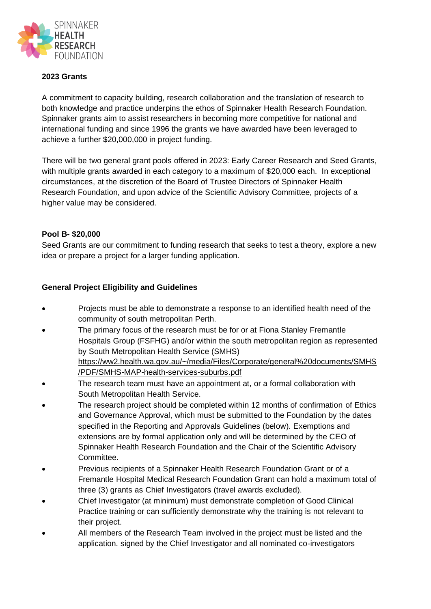

### **2023 Grants**

A commitment to capacity building, research collaboration and the translation of research to both knowledge and practice underpins the ethos of Spinnaker Health Research Foundation. Spinnaker grants aim to assist researchers in becoming more competitive for national and international funding and since 1996 the grants we have awarded have been leveraged to achieve a further \$20,000,000 in project funding.

There will be two general grant pools offered in 2023: Early Career Research and Seed Grants, with multiple grants awarded in each category to a maximum of \$20,000 each. In exceptional circumstances, at the discretion of the Board of Trustee Directors of Spinnaker Health Research Foundation, and upon advice of the Scientific Advisory Committee, projects of a higher value may be considered.

#### **Pool B- \$20,000**

Seed Grants are our commitment to funding research that seeks to test a theory, explore a new idea or prepare a project for a larger funding application.

#### **General Project Eligibility and Guidelines**

- Projects must be able to demonstrate a response to an identified health need of the community of south metropolitan Perth.
- The primary focus of the research must be for or at Fiona Stanley Fremantle Hospitals Group (FSFHG) and/or within the south metropolitan region as represented by South Metropolitan Health Service (SMHS) [https://ww2.health.wa.gov.au/~/media/Files/Corporate/general%20documents/SMHS](https://ww2.health.wa.gov.au/~/media/Files/Corporate/general%20documents/SMHS/PDF/SMHS-MAP-health-services-suburbs.pdf) [/PDF/SMHS-MAP-health-services-suburbs.pdf](https://ww2.health.wa.gov.au/~/media/Files/Corporate/general%20documents/SMHS/PDF/SMHS-MAP-health-services-suburbs.pdf)
- The research team must have an appointment at, or a formal collaboration with South Metropolitan Health Service.
- The research project should be completed within 12 months of confirmation of Ethics and Governance Approval, which must be submitted to the Foundation by the dates specified in the Reporting and Approvals Guidelines (below). Exemptions and extensions are by formal application only and will be determined by the CEO of Spinnaker Health Research Foundation and the Chair of the Scientific Advisory Committee.
- Previous recipients of a Spinnaker Health Research Foundation Grant or of a Fremantle Hospital Medical Research Foundation Grant can hold a maximum total of three (3) grants as Chief Investigators (travel awards excluded).
- Chief Investigator (at minimum) must demonstrate completion of Good Clinical Practice training or can sufficiently demonstrate why the training is not relevant to their project.
- All members of the Research Team involved in the project must be listed and the application. signed by the Chief Investigator and all nominated co-investigators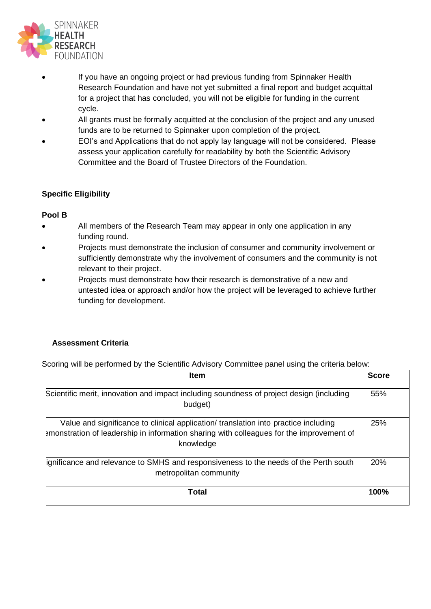

- If you have an ongoing project or had previous funding from Spinnaker Health Research Foundation and have not yet submitted a final report and budget acquittal for a project that has concluded, you will not be eligible for funding in the current cycle.
- All grants must be formally acquitted at the conclusion of the project and any unused funds are to be returned to Spinnaker upon completion of the project.
- EOI's and Applications that do not apply lay language will not be considered. Please assess your application carefully for readability by both the Scientific Advisory Committee and the Board of Trustee Directors of the Foundation.

## **Specific Eligibility**

#### **Pool B**

- All members of the Research Team may appear in only one application in any funding round.
- Projects must demonstrate the inclusion of consumer and community involvement or sufficiently demonstrate why the involvement of consumers and the community is not relevant to their project.
- Projects must demonstrate how their research is demonstrative of a new and untested idea or approach and/or how the project will be leveraged to achieve further funding for development.

# **Assessment Criteria**

Scoring will be performed by the Scientific Advisory Committee panel using the criteria below:

| <b>Item</b>                                                                                                                                                                                  |      |  |
|----------------------------------------------------------------------------------------------------------------------------------------------------------------------------------------------|------|--|
| Scientific merit, innovation and impact including soundness of project design (including<br>budget)                                                                                          | 55%  |  |
| Value and significance to clinical application/ translation into practice including<br>emonstration of leadership in information sharing with colleagues for the improvement of<br>knowledge | 25%  |  |
| ignificance and relevance to SMHS and responsiveness to the needs of the Perth south<br>metropolitan community                                                                               | 20%  |  |
| Total                                                                                                                                                                                        | 100% |  |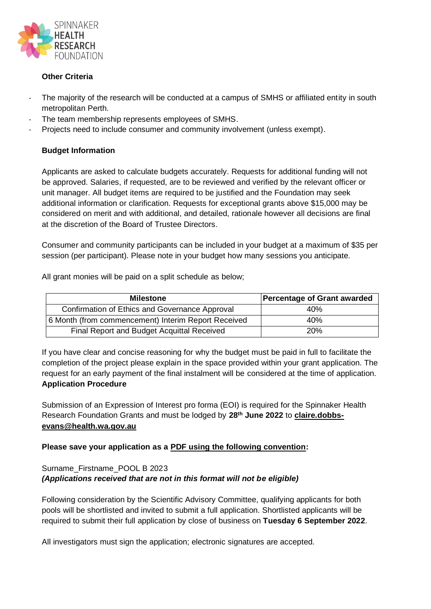

## **Other Criteria**

- The majority of the research will be conducted at a campus of SMHS or affiliated entity in south metropolitan Perth.
- The team membership represents employees of SMHS.
- Projects need to include consumer and community involvement (unless exempt).

## **Budget Information**

Applicants are asked to calculate budgets accurately. Requests for additional funding will not be approved. Salaries, if requested, are to be reviewed and verified by the relevant officer or unit manager. All budget items are required to be justified and the Foundation may seek additional information or clarification. Requests for exceptional grants above \$15,000 may be considered on merit and with additional, and detailed, rationale however all decisions are final at the discretion of the Board of Trustee Directors.

Consumer and community participants can be included in your budget at a maximum of \$35 per session (per participant). Please note in your budget how many sessions you anticipate.

All grant monies will be paid on a split schedule as below;

| <b>Milestone</b>                                    | Percentage of Grant awarded |
|-----------------------------------------------------|-----------------------------|
| Confirmation of Ethics and Governance Approval      | 40%                         |
| 6 Month (from commencement) Interim Report Received | 40%                         |
| Final Report and Budget Acquittal Received          | 20%                         |

If you have clear and concise reasoning for why the budget must be paid in full to facilitate the completion of the project please explain in the space provided within your grant application. The request for an early payment of the final instalment will be considered at the time of application. **Application Procedure**

Submission of an Expression of Interest pro forma (EOI) is required for the Spinnaker Health Research Foundation Grants and must be lodged by **28th June 2022** to **[claire.dobbs](mailto:claire.dobbs-evans@health.wa.gov.au)[evans@health.wa.gov.au](mailto:claire.dobbs-evans@health.wa.gov.au)**

#### **Please save your application as a PDF using the following convention:**

## Surname\_Firstname\_POOL B 2023 *(Applications received that are not in this format will not be eligible)*

Following consideration by the Scientific Advisory Committee, qualifying applicants for both pools will be shortlisted and invited to submit a full application. Shortlisted applicants will be required to submit their full application by close of business on **Tuesday 6 September 2022**.

All investigators must sign the application; electronic signatures are accepted.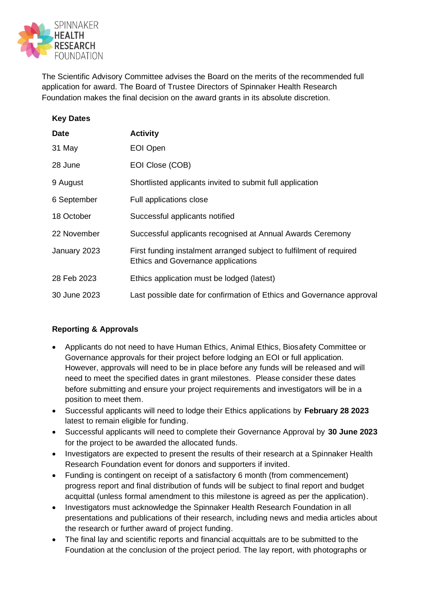

The Scientific Advisory Committee advises the Board on the merits of the recommended full application for award. The Board of Trustee Directors of Spinnaker Health Research Foundation makes the final decision on the award grants in its absolute discretion.

| <b>Key Dates</b> |                                                                                                           |
|------------------|-----------------------------------------------------------------------------------------------------------|
| Date             | <b>Activity</b>                                                                                           |
| 31 May           | EOI Open                                                                                                  |
| 28 June          | EOI Close (COB)                                                                                           |
| 9 August         | Shortlisted applicants invited to submit full application                                                 |
| 6 September      | Full applications close                                                                                   |
| 18 October       | Successful applicants notified                                                                            |
| 22 November      | Successful applicants recognised at Annual Awards Ceremony                                                |
| January 2023     | First funding instalment arranged subject to fulfilment of required<br>Ethics and Governance applications |
| 28 Feb 2023      | Ethics application must be lodged (latest)                                                                |
| 30 June 2023     | Last possible date for confirmation of Ethics and Governance approval                                     |

## **Reporting & Approvals**

- Applicants do not need to have Human Ethics, Animal Ethics, Biosafety Committee or Governance approvals for their project before lodging an EOI or full application. However, approvals will need to be in place before any funds will be released and will need to meet the specified dates in grant milestones. Please consider these dates before submitting and ensure your project requirements and investigators will be in a position to meet them.
- Successful applicants will need to lodge their Ethics applications by **February 28 2023** latest to remain eligible for funding.
- Successful applicants will need to complete their Governance Approval by **30 June 2023** for the project to be awarded the allocated funds.
- Investigators are expected to present the results of their research at a Spinnaker Health Research Foundation event for donors and supporters if invited.
- Funding is contingent on receipt of a satisfactory 6 month (from commencement) progress report and final distribution of funds will be subject to final report and budget acquittal (unless formal amendment to this milestone is agreed as per the application).
- Investigators must acknowledge the Spinnaker Health Research Foundation in all presentations and publications of their research, including news and media articles about the research or further award of project funding.
- The final lay and scientific reports and financial acquittals are to be submitted to the Foundation at the conclusion of the project period. The lay report, with photographs or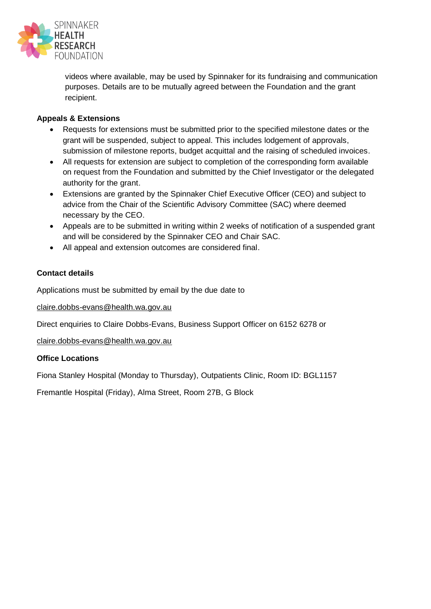

videos where available, may be used by Spinnaker for its fundraising and communication purposes. Details are to be mutually agreed between the Foundation and the grant recipient.

## **Appeals & Extensions**

- Requests for extensions must be submitted prior to the specified milestone dates or the grant will be suspended, subject to appeal. This includes lodgement of approvals, submission of milestone reports, budget acquittal and the raising of scheduled invoices.
- All requests for extension are subject to completion of the corresponding form available on request from the Foundation and submitted by the Chief Investigator or the delegated authority for the grant.
- Extensions are granted by the Spinnaker Chief Executive Officer (CEO) and subject to advice from the Chair of the Scientific Advisory Committee (SAC) where deemed necessary by the CEO.
- Appeals are to be submitted in writing within 2 weeks of notification of a suspended grant and will be considered by the Spinnaker CEO and Chair SAC.
- All appeal and extension outcomes are considered final.

## **Contact details**

Applications must be submitted by email by the due date to

[claire.dobbs-evans@health.wa.gov.au](mailto:claire.dobbs-evans@health.wa.gov.au)

Direct enquiries to Claire Dobbs-Evans, Business Support Officer on 6152 6278 or

[claire.dobbs-evans@health.wa.gov.au](mailto:claire.dobbs-evans@health.wa.gov.au)

#### **Office Locations**

Fiona Stanley Hospital (Monday to Thursday), Outpatients Clinic, Room ID: BGL1157

Fremantle Hospital (Friday), Alma Street, Room 27B, G Block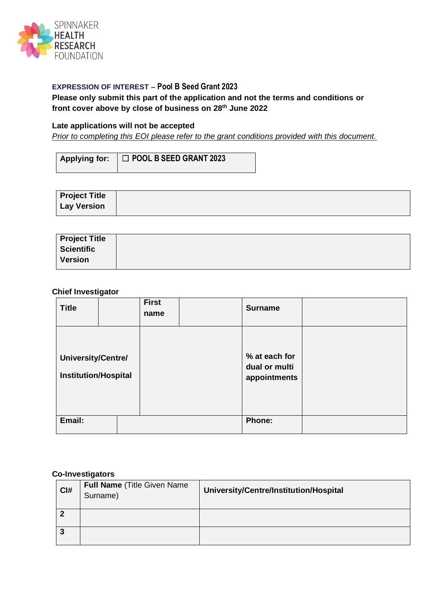

#### **EXPRESSION OF INTEREST – Pool B Seed Grant 2023**

#### **Please only submit this part of the application and not the terms and conditions or front cover above by close of business on 28th June 2022**

#### **Late applications will not be accepted**

*Prior to completing this EOI please refer to the grant conditions provided with this document.* 

| Applying for: □ POOL B SEED GRANT 2023 |
|----------------------------------------|
|                                        |

| <b>Project Title</b> |  |
|----------------------|--|
| <b>Lay Version</b>   |  |

| <b>Project Title</b> |  |
|----------------------|--|
| <b>Scientific</b>    |  |
| <b>Version</b>       |  |

#### **Chief Investigator**

| <b>Title</b>                                      | <b>First</b><br>name | <b>Surname</b>                                 |  |
|---------------------------------------------------|----------------------|------------------------------------------------|--|
| University/Centre/<br><b>Institution/Hospital</b> |                      | % at each for<br>dual or multi<br>appointments |  |
| Email:                                            |                      | <b>Phone:</b>                                  |  |

#### **Co-Investigators**

| CI# | Full Name (Title Given Name<br>Surname) | University/Centre/Institution/Hospital |
|-----|-----------------------------------------|----------------------------------------|
| າ   |                                         |                                        |
| 3   |                                         |                                        |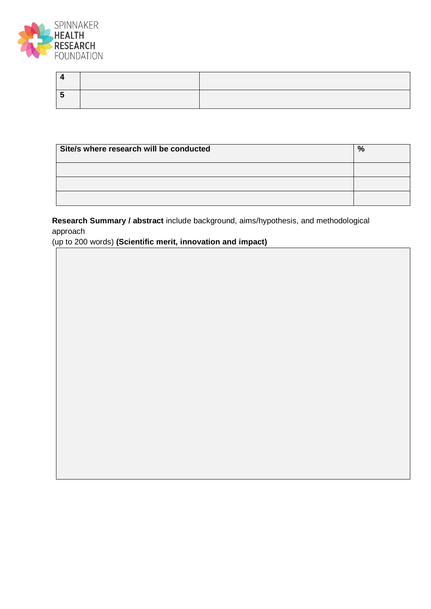

| Site/s where research will be conducted | $\frac{9}{6}$ |
|-----------------------------------------|---------------|
|                                         |               |
|                                         |               |
|                                         |               |

**Research Summary / abstract** include background, aims/hypothesis, and methodological approach

(up to 200 words) **(Scientific merit, innovation and impact)**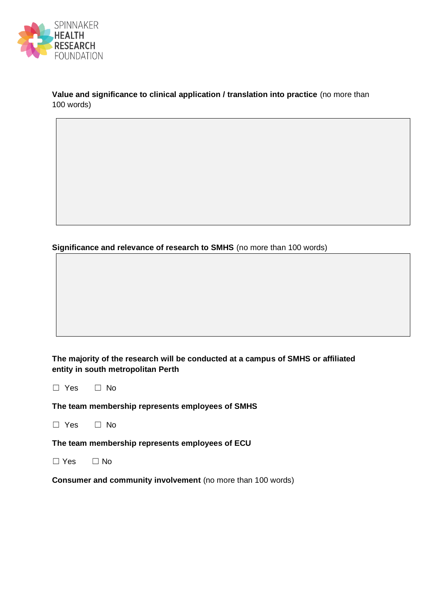

**Value and significance to clinical application / translation into practice** (no more than 100 words)

**Significance and relevance of research to SMHS** (no more than 100 words)

**The majority of the research will be conducted at a campus of SMHS or affiliated entity in south metropolitan Perth** 

☐ Yes ☐ No

**The team membership represents employees of SMHS** 

☐ Yes ☐ No

**The team membership represents employees of ECU** 

☐ Yes ☐ No

**Consumer and community involvement** (no more than 100 words)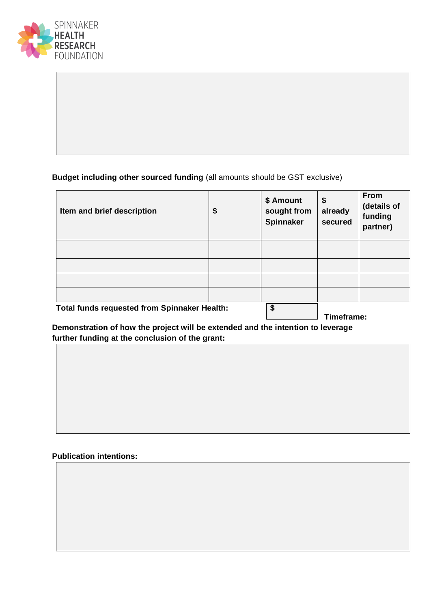

## **Budget including other sourced funding** (all amounts should be GST exclusive)

| Item and brief description                          | \$<br>\$ Amount<br>sought from<br><b>Spinnaker</b> | \$<br>already<br>secured | <b>From</b><br>(details of<br>funding<br>partner) |
|-----------------------------------------------------|----------------------------------------------------|--------------------------|---------------------------------------------------|
|                                                     |                                                    |                          |                                                   |
|                                                     |                                                    |                          |                                                   |
|                                                     |                                                    |                          |                                                   |
|                                                     |                                                    |                          |                                                   |
| <b>Total funds requested from Spinnaker Health:</b> | \$                                                 | Timeframe:               |                                                   |

**Demonstration of how the project will be extended and the intention to leverage further funding at the conclusion of the grant:**

# **Publication intentions:**